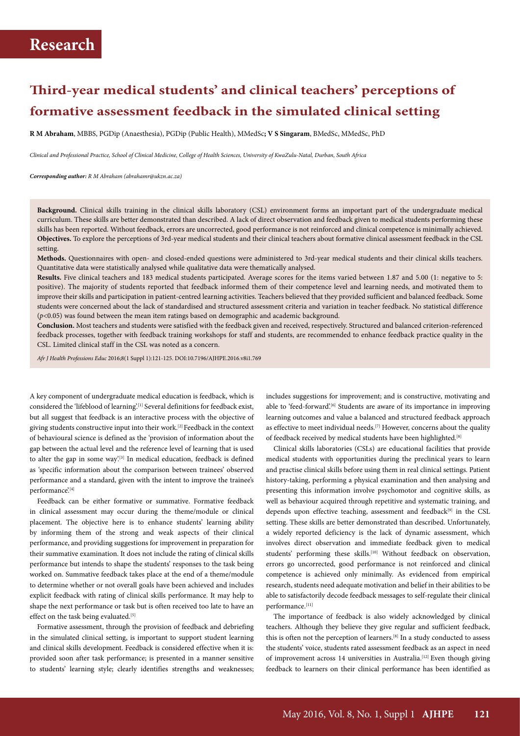## **Third-year medical students' and clinical teachers' perceptions of formative assessment feedback in the simulated clinical setting**

**R M Abraham**, MBBS, PGDip (Anaesthesia), PGDip (Public Health), MMedSc**; V S Singaram**, BMedSc, MMedSc, PhD

*Clinical and Professional Practice, School of Clinical Medicine, College of Health Sciences, University of KwaZulu-Natal, Durban, South Africa*

*Corresponding author: R M Abraham (abrahamr@ukzn.ac.za)*

**Background.** Clinical skills training in the clinical skills laboratory (CSL) environment forms an important part of the undergraduate medical curriculum. These skills are better demonstrated than described. A lack of direct observation and feedback given to medical students performing these skills has been reported. Without feedback, errors are uncorrected, good performance is not reinforced and clinical competence is minimally achieved. **Objectives.** To explore the perceptions of 3rd-year medical students and their clinical teachers about formative clinical assessment feedback in the CSL setting.

**Methods.** Questionnaires with open- and closed-ended questions were administered to 3rd-year medical students and their clinical skills teachers. Quantitative data were statistically analysed while qualitative data were thematically analysed.

**Results.** Five clinical teachers and 183 medical students participated. Average scores for the items varied between 1.87 and 5.00 (1: negative to 5: positive). The majority of students reported that feedback informed them of their competence level and learning needs, and motivated them to improve their skills and participation in patient-centred learning activities. Teachers believed that they provided sufficient and balanced feedback. Some students were concerned about the lack of standardised and structured assessment criteria and variation in teacher feedback. No statistical difference (*p*<0.05) was found between the mean item ratings based on demographic and academic background.

**Conclusion.** Most teachers and students were satisfied with the feedback given and received, respectively. Structured and balanced criterion-referenced feedback processes, together with feedback training workshops for staff and students, are recommended to enhance feedback practice quality in the CSL. Limited clinical staff in the CSL was noted as a concern.

*Afr J Health Professions Educ* 2016;8(1 Suppl 1):121-125. DOI:10.7196/AJHPE.2016.v8i1.769

A key component of undergraduate medical education is feedback, which is considered the 'lifeblood of learning'.<sup>[1]</sup> Several definitions for feedback exist, but all suggest that feedback is an interactive process with the objective of giving students constructive input into their work.[2] Feedback in the context of behavioural science is defined as the 'provision of information about the gap between the actual level and the reference level of learning that is used to alter the gap in some way.<sup>[3]</sup> In medical education, feedback is defined as 'specific information about the comparison between trainees' observed performance and a standard, given with the intent to improve the trainee's performance'.[4]

Feedback can be either formative or summative. Formative feedback in clinical assessment may occur during the theme/module or clinical placement. The objective here is to enhance students' learning ability by informing them of the strong and weak aspects of their clinical performance, and providing suggestions for improvement in preparation for their summative examination. It does not include the rating of clinical skills performance but intends to shape the students' responses to the task being worked on. Summative feedback takes place at the end of a theme/module to determine whether or not overall goals have been achieved and includes explicit feedback with rating of clinical skills performance. It may help to shape the next performance or task but is often received too late to have an effect on the task being evaluated.<sup>[5]</sup>

Formative assessment, through the provision of feedback and debriefing in the simulated clinical setting, is important to support student learning and clinical skills development. Feedback is considered effective when it is: provided soon after task performance; is presented in a manner sensitive to students' learning style; clearly identifies strengths and weaknesses;

includes suggestions for improvement; and is constructive, motivating and able to 'feed-forward'.<sup>[6]</sup> Students are aware of its importance in improving learning outcomes and value a balanced and structured feedback approach as effective to meet individual needs.<sup>[7]</sup> However, concerns about the quality of feedback received by medical students have been highlighted.<sup>[8]</sup>

Clinical skills laboratories (CSLs) are educational facilities that provide medical students with opportunities during the preclinical years to learn and practise clinical skills before using them in real clinical settings. Patient history-taking, performing a physical examination and then analysing and presenting this information involve psychomotor and cognitive skills, as well as behaviour acquired through repetitive and systematic training, and depends upon effective teaching, assessment and feedback<sup>[9]</sup> in the CSL setting. These skills are better demonstrated than described. Unfortunately, a widely reported deficiency is the lack of dynamic assessment, which involves direct observation and immediate feedback given to medical students' performing these skills.<sup>[10]</sup> Without feedback on observation, errors go uncorrected, good performance is not reinforced and clinical competence is achieved only minimally. As evidenced from empirical research, students need adequate motivation and belief in their abilities to be able to satisfactorily decode feedback messages to self-regulate their clinical performance.[11]

The importance of feedback is also widely acknowledged by clinical teachers. Although they believe they give regular and sufficient feedback, this is often not the perception of learners.[8] In a study conducted to assess the students' voice, students rated assessment feedback as an aspect in need of improvement across 14 universities in Australia.<sup>[12]</sup> Even though giving feedback to learners on their clinical performance has been identified as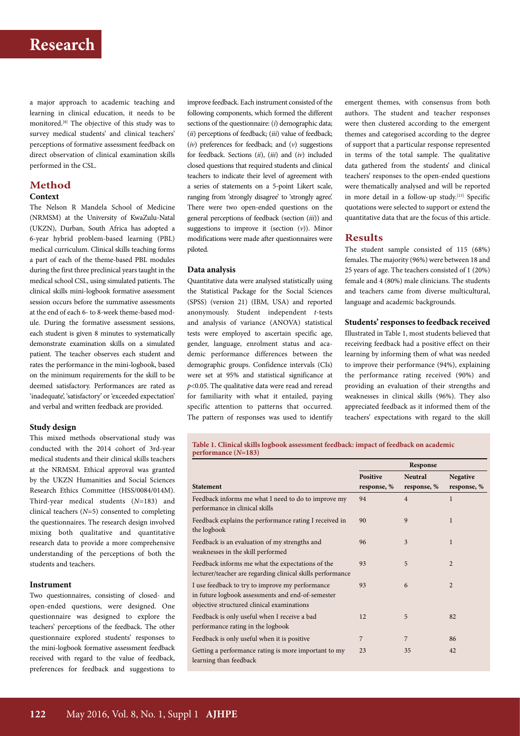a major approach to academic teaching and learning in clinical education, it needs to be monitored.[8] The objective of this study was to survey medical students' and clinical teachers' perceptions of formative assessment feedback on direct observation of clinical examination skills performed in the CSL.

### **Method**

### **Context**

The Nelson R Mandela School of Medicine (NRMSM) at the University of KwaZulu-Natal (UKZN), Durban, South Africa has adopted a 6-year hybrid problem-based learning (PBL) medical curriculum. Clinical skills teaching forms a part of each of the theme-based PBL modules during the first three preclinical years taught in the medical school CSL, using simulated patients. The clinical skills mini-logbook formative assessment session occurs before the summative assessments at the end of each 6- to 8-week theme-based module. During the formative assessment sessions, each student is given 8 minutes to systematically demonstrate examination skills on a simulated patient. The teacher observes each student and rates the performance in the mini-logbook, based on the minimum requirements for the skill to be deemed satisfactory. Performances are rated as 'inadequate', 'satisfactory' or 'exceeded expectation' and verbal and written feedback are provided.

### **Study design**

This mixed methods observational study was conducted with the 2014 cohort of 3rd-year medical students and their clinical skills teachers at the NRMSM. Ethical approval was granted by the UKZN Humanities and Social Sciences Research Ethics Committee (HSS/0084/014M). Third-year medical students (*N*=183) and clinical teachers (*N*=5) consented to completing the questionnaires. The research design involved mixing both qualitative and quantitative research data to provide a more comprehensive understanding of the perceptions of both the students and teachers.

### **Instrument**

Two questionnaires, consisting of closed- and open-ended questions, were designed. One questionnaire was designed to explore the teachers' perceptions of the feedback. The other questionnaire explored students' responses to the mini-logbook formative assessment feedback received with regard to the value of feedback, preferences for feedback and suggestions to

improve feedback. Each instrument consisted of the following components, which formed the different sections of the questionnaire: (*i*) demographic data; (*ii*) perceptions of feedback; (*iii*) value of feedback; (*iv*) preferences for feedback; and (*v*) suggestions for feedback. Sections (*ii*), (*iii*) and (*iv*) included closed questions that required students and clinical teachers to indicate their level of agreement with a series of statements on a 5-point Likert scale, ranging from 'strongly disagree' to 'strongly agree'. There were two open-ended questions on the general perceptions of feedback (section (*iii*)) and suggestions to improve it (section  $(v)$ ). Minor modifications were made after questionnaires were piloted.

### **Data analysis**

Quantitative data were analysed statistically using the Statistical Package for the Social Sciences (SPSS) (version 21) (IBM, USA) and reported anonymously. Student independent *t*-tests and analysis of variance (ANOVA) statistical tests were employed to ascertain specific age, gender, language, enrolment status and academic performance differences between the demographic groups. Confidence intervals (CIs) were set at 95% and statistical significance at *p*<0.05. The qualitative data were read and reread for familiarity with what it entailed, paying specific attention to patterns that occurred. The pattern of responses was used to identify emergent themes, with consensus from both authors. The student and teacher responses were then clustered according to the emergent themes and categorised according to the degree of support that a particular response represented in terms of the total sample. The qualitative data gathered from the students' and clinical teachers' responses to the open-ended questions were thematically analysed and will be reported in more detail in a follow-up study.<sup>[13]</sup> Specific quotations were selected to support or extend the quantitative data that are the focus of this article.

### **Results**

The student sample consisted of 115 (68%) females. The majority (96%) were between 18 and 25 years of age. The teachers consisted of 1 (20%) female and 4 (80%) male clinicians. The students and teachers came from diverse multicultural, language and academic backgrounds.

### **Students' responses to feedback received**

Illustrated in Table 1, most students believed that receiving feedback had a positive effect on their learning by informing them of what was needed to improve their performance (94%), explaining the performance rating received (90%) and providing an evaluation of their strengths and weaknesses in clinical skills (96%). They also appreciated feedback as it informed them of the teachers' expectations with regard to the skill

**Table 1. Clinical skills logbook assessment feedback: impact of feedback on academic performance (***N***=183)**

|                                                                                                                                                    | Response                |                               |                                |
|----------------------------------------------------------------------------------------------------------------------------------------------------|-------------------------|-------------------------------|--------------------------------|
| <b>Statement</b>                                                                                                                                   | Positive<br>response, % | <b>Neutral</b><br>response, % | <b>Negative</b><br>response, % |
| Feedback informs me what I need to do to improve my<br>performance in clinical skills                                                              | 94                      | $\overline{4}$                | $\mathbf{1}$                   |
| Feedback explains the performance rating I received in<br>the logbook                                                                              | 90                      | 9                             | $\mathbf{1}$                   |
| Feedback is an evaluation of my strengths and<br>weaknesses in the skill performed                                                                 | 96                      | 3                             | $\mathbf{1}$                   |
| Feedback informs me what the expectations of the<br>lecturer/teacher are regarding clinical skills performance                                     | 93                      | 5                             | $\overline{2}$                 |
| I use feedback to try to improve my performance<br>in future logbook assessments and end-of-semester<br>objective structured clinical examinations | 93                      | 6                             | $\overline{2}$                 |
| Feedback is only useful when I receive a bad<br>performance rating in the logbook                                                                  | 12                      | 5                             | 82                             |
| Feedback is only useful when it is positive                                                                                                        | 7                       | 7                             | 86                             |
| Getting a performance rating is more important to my<br>learning than feedback                                                                     | 23                      | 35                            | 42                             |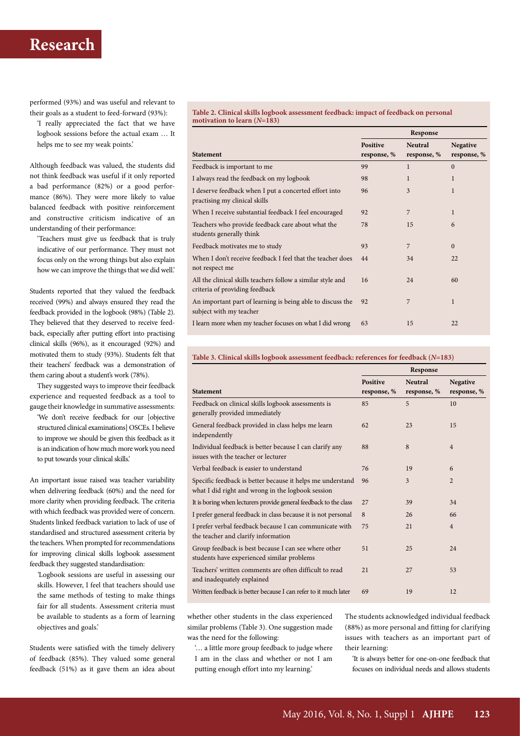performed (93%) and was useful and relevant to their goals as a student to feed-forward (93%):

'I really appreciated the fact that we have logbook sessions before the actual exam … It helps me to see my weak points.'

Although feedback was valued, the students did not think feedback was useful if it only reported a bad performance (82%) or a good performance (86%). They were more likely to value balanced feedback with positive reinforcement and constructive criticism indicative of an understanding of their performance:

'Teachers must give us feedback that is truly indicative of our performance. They must not focus only on the wrong things but also explain how we can improve the things that we did well.'

Students reported that they valued the feedback received (99%) and always ensured they read the feedback provided in the logbook (98%) (Table 2). They believed that they deserved to receive feedback, especially after putting effort into practising clinical skills (96%), as it encouraged (92%) and motivated them to study (93%). Students felt that their teachers' feedback was a demonstration of them caring about a student's work (78%).

They suggested ways to improve their feedback experience and requested feedback as a tool to gauge their knowledge in summative assessments:

'We don't receive feedback for our [objective structured clinical examinations] OSCEs. I believe to improve we should be given this feedback as it is an indication of how much more work you need to put towards your clinical skills.'

An important issue raised was teacher variability when delivering feedback (60%) and the need for more clarity when providing feedback. The criteria with which feedback was provided were of concern. Students linked feedback variation to lack of use of standardised and structured assessment criteria by the teachers. When prompted for recommendations for improving clinical skills logbook assessment feedback they suggested standardisation:

*'*Logbook sessions are useful in assessing our skills. However, I feel that teachers should use the same methods of testing to make things fair for all students. Assessment criteria must be available to students as a form of learning objectives and goals.'

Students were satisfied with the timely delivery of feedback (85%). They valued some general feedback (51%) as it gave them an idea about

**Table 2. Clinical skills logbook assessment feedback: impact of feedback on personal motivation to learn (***N***=183)**

|                                                                                               | Response        |                |                 |
|-----------------------------------------------------------------------------------------------|-----------------|----------------|-----------------|
|                                                                                               | <b>Positive</b> | <b>Neutral</b> | <b>Negative</b> |
| <b>Statement</b>                                                                              | response, %     | response, %    | response, %     |
| Feedback is important to me                                                                   | 99              | 1              | $\Omega$        |
| I always read the feedback on my logbook                                                      | 98              | $\mathbf{1}$   | 1               |
| I deserve feedback when I put a concerted effort into<br>practising my clinical skills        | 96              | 3              | 1               |
| When I receive substantial feedback I feel encouraged                                         | 92              | $\overline{7}$ | $\mathbf{1}$    |
| Teachers who provide feedback care about what the<br>students generally think                 | 78              | 15             | 6               |
| Feedback motivates me to study                                                                | 93              | 7              | $\Omega$        |
| When I don't receive feedback I feel that the teacher does<br>not respect me                  | 44              | 34             | 22              |
| All the clinical skills teachers follow a similar style and<br>criteria of providing feedback | 16              | 24             | 60              |
| An important part of learning is being able to discuss the<br>subject with my teacher         | 92              | 7              | 1               |
| I learn more when my teacher focuses on what I did wrong                                      | 63              | 15             | 22              |

### **Table 3. Clinical skills logbook assessment feedback: references for feedback (***N***=183)**

|                                                                                                                 | Response        |                |                 |
|-----------------------------------------------------------------------------------------------------------------|-----------------|----------------|-----------------|
|                                                                                                                 | <b>Positive</b> | <b>Neutral</b> | <b>Negative</b> |
| <b>Statement</b>                                                                                                | response, %     | response, %    | response, %     |
| Feedback on clinical skills logbook assessments is<br>generally provided immediately                            | 85              | 5              | 10              |
| General feedback provided in class helps me learn<br>independently                                              | 62              | 23             | 15              |
| Individual feedback is better because I can clarify any<br>issues with the teacher or lecturer                  | 88              | 8              | $\overline{4}$  |
| Verbal feedback is easier to understand                                                                         | 76              | 19             | 6               |
| Specific feedback is better because it helps me understand<br>what I did right and wrong in the logbook session | 96              | 3              | $\overline{2}$  |
| It is boring when lecturers provide general feedback to the class                                               | 27              | 39             | 34              |
| I prefer general feedback in class because it is not personal                                                   | 8               | 26             | 66              |
| I prefer verbal feedback because I can communicate with<br>the teacher and clarify information                  | 75              | 21             | $\overline{4}$  |
| Group feedback is best because I can see where other<br>students have experienced similar problems              | 51              | 25             | 24              |
| Teachers' written comments are often difficult to read<br>and inadequately explained                            | 21              | 27             | 53              |
| Written feedback is better because I can refer to it much later                                                 | 69              | 19             | 12              |

whether other students in the class experienced similar problems (Table 3). One suggestion made was the need for the following:

'… a little more group feedback to judge where I am in the class and whether or not I am putting enough effort into my learning.'

The students acknowledged individual feedback (88%) as more personal and fitting for clarifying issues with teachers as an important part of their learning:

'It is always better for one-on-one feedback that focuses on individual needs and allows students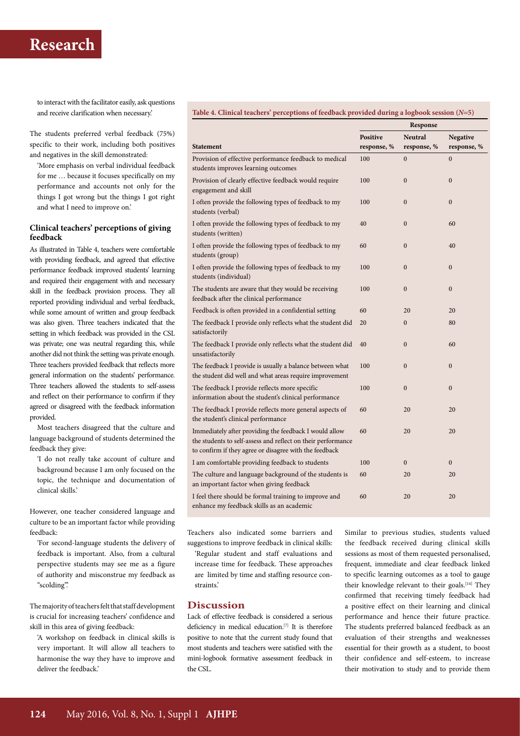to interact with the facilitator easily, ask questions and receive clarification when necessary.'

The students preferred verbal feedback (75%) specific to their work, including both positives and negatives in the skill demonstrated:

'More emphasis on verbal individual feedback for me … because it focuses specifically on my performance and accounts not only for the things I got wrong but the things I got right and what I need to improve on.'

### **Clinical teachers' perceptions of giving feedback**

As illustrated in Table 4, teachers were comfortable with providing feedback, and agreed that effective performance feedback improved students' learning and required their engagement with and necessary skill in the feedback provision process. They all reported providing individual and verbal feedback, while some amount of written and group feedback was also given. Three teachers indicated that the setting in which feedback was provided in the CSL was private; one was neutral regarding this, while another did not think the setting was private enough. Three teachers provided feedback that reflects more general information on the students' performance. Three teachers allowed the students to self-assess and reflect on their performance to confirm if they agreed or disagreed with the feedback information provided.

Most teachers disagreed that the culture and language background of students determined the feedback they give:

'I do not really take account of culture and background because I am only focused on the topic, the technique and documentation of clinical skills.'

However, one teacher considered language and culture to be an important factor while providing feedback:

'For second-language students the delivery of feedback is important. Also, from a cultural perspective students may see me as a figure of authority and misconstrue my feedback as "scolding".'

The majority of teachers felt that staff development is crucial for increasing teachers' confidence and skill in this area of giving feedback:

'A workshop on feedback in clinical skills is very important. It will allow all teachers to harmonise the way they have to improve and deliver the feedback.'

### **Table 4. Clinical teachers' perceptions of feedback provided during a logbook session (***N***=5)**

|                                                                                                                                                                                  | Response                       |                               |                                |
|----------------------------------------------------------------------------------------------------------------------------------------------------------------------------------|--------------------------------|-------------------------------|--------------------------------|
| <b>Statement</b>                                                                                                                                                                 | <b>Positive</b><br>response, % | <b>Neutral</b><br>response, % | <b>Negative</b><br>response, % |
| Provision of effective performance feedback to medical<br>students improves learning outcomes                                                                                    | 100                            | $\mathbf{0}$                  | $\mathbf{0}$                   |
| Provision of clearly effective feedback would require<br>engagement and skill                                                                                                    | 100                            | $\mathbf{0}$                  | $\boldsymbol{0}$               |
| I often provide the following types of feedback to my<br>students (verbal)                                                                                                       | 100                            | $\mathbf{0}$                  | $\overline{0}$                 |
| I often provide the following types of feedback to my<br>students (written)                                                                                                      | 40                             | $\mathbf{0}$                  | 60                             |
| I often provide the following types of feedback to my<br>students (group)                                                                                                        | 60                             | $\mathbf{0}$                  | 40                             |
| I often provide the following types of feedback to my<br>students (individual)                                                                                                   | 100                            | $\mathbf{0}$                  | $\mathbf{0}$                   |
| The students are aware that they would be receiving<br>feedback after the clinical performance                                                                                   | 100                            | $\mathbf{0}$                  | $\overline{0}$                 |
| Feedback is often provided in a confidential setting                                                                                                                             | 60                             | 20                            | 20                             |
| The feedback I provide only reflects what the student did<br>satisfactorily                                                                                                      | 20                             | $\mathbf{0}$                  | 80                             |
| The feedback I provide only reflects what the student did<br>unsatisfactorily                                                                                                    | 40                             | $\mathbf{0}$                  | 60                             |
| The feedback I provide is usually a balance between what<br>the student did well and what areas require improvement                                                              | 100                            | $\mathbf{0}$                  | $\boldsymbol{0}$               |
| The feedback I provide reflects more specific<br>information about the student's clinical performance                                                                            | 100                            | $\overline{0}$                | $\mathbf{0}$                   |
| The feedback I provide reflects more general aspects of<br>the student's clinical performance                                                                                    | 60                             | 20                            | 20                             |
| Immediately after providing the feedback I would allow<br>the students to self-assess and reflect on their performance<br>to confirm if they agree or disagree with the feedback | 60                             | 20                            | 20                             |
| I am comfortable providing feedback to students                                                                                                                                  | 100                            | $\mathbf{0}$                  | $\overline{0}$                 |
| The culture and language background of the students is<br>an important factor when giving feedback                                                                               | 60                             | 20                            | 20                             |
| I feel there should be formal training to improve and<br>enhance my feedback skills as an academic                                                                               | 60                             | 20                            | 20                             |

Teachers also indicated some barriers and suggestions to improve feedback in clinical skills:

'Regular student and staff evaluations and increase time for feedback. These approaches are limited by time and staffing resource constraints.'

### **Discussion**

Lack of effective feedback is considered a serious deficiency in medical education.[7] It is therefore positive to note that the current study found that most students and teachers were satisfied with the mini-logbook formative assessment feedback in the CSL.

Similar to previous studies, students valued the feedback received during clinical skills sessions as most of them requested personalised, frequent, immediate and clear feedback linked to specific learning outcomes as a tool to gauge their knowledge relevant to their goals.<sup>[14]</sup> They confirmed that receiving timely feedback had a positive effect on their learning and clinical performance and hence their future practice. The students preferred balanced feedback as an evaluation of their strengths and weaknesses essential for their growth as a student, to boost their confidence and self-esteem, to increase their motivation to study and to provide them